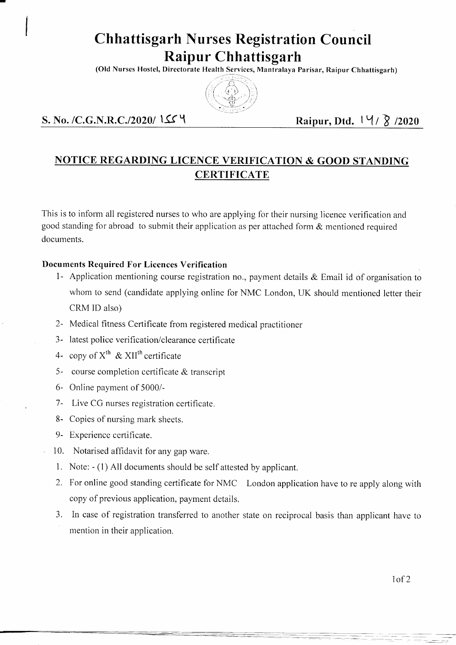# **Chhattisgarh Nurses Registration Council Raipur Chhattisgarh**

**(Old Nurses Hostel, Directorate Health Services, Mantralaya Parisar, Raipur Chhattisgarh)**



### **S. No. /C.G.N.R.C./2020/** *\\$£* **^ Raipur, Dtd. I M / 1? /2020**

# **NOTICE REGARDING LICENCE VERIFICATION & GOOD STANDING CERTIFICATE**

This is to inform all registered nurses to who are applying for their nursing licence verification and good standing for abroad to submit their application as per attached form  $\&$  mentioned required documents.

#### **Documents Required For Licences Verification**

- 1- Application mentioning course registration no., payment details & Email id of organisation to whom to send (candidate applying online for NMC London, UK should mentioned letter their CRM ID also)
- 2- Medical fitness Certificate from registered medical practitioner
- 3- latest police verification/clearance certificate
- 4- copy of  $X^{th}$  & XII<sup>th</sup> certificate
- 5- course completion certificate & transcript
- 6- Online payment of 5000/-
- 7- Live CG nurses registration certificate.
- 8- Copies of nursing mark sheets.
- 9- Experience certificate.
- 10. Notarised affidavit for any gap ware.
- 1. Note: (1) All documents should be self attested by applicant.
- 2. For online good standing certificate for NMC London application have to re apply along with copy of previous application, payment details.
- 3. In case of registration transferred to another state on reciprocal basis than applicant have to mention in their application.

Iof 2